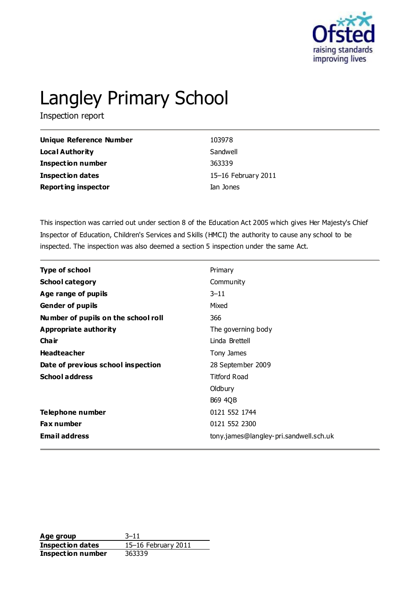

# Langley Primary School

Inspection report

| Unique Reference Number    | 103978              |
|----------------------------|---------------------|
| Local Authority            | Sandwell            |
| <b>Inspection number</b>   | 363339              |
| Inspection dates           | 15-16 February 2011 |
| <b>Reporting inspector</b> | Ian Jones           |

This inspection was carried out under section 8 of the Education Act 2005 which gives Her Majesty's Chief Inspector of Education, Children's Services and Skills (HMCI) the authority to cause any school to be inspected. The inspection was also deemed a section 5 inspection under the same Act.

| Type of school                      | Primary                                |
|-------------------------------------|----------------------------------------|
| <b>School category</b>              | Community                              |
| Age range of pupils                 | $3 - 11$                               |
| <b>Gender of pupils</b>             | Mixed                                  |
| Number of pupils on the school roll | 366                                    |
| Appropriate authority               | The governing body                     |
| Cha ir                              | Linda Brettell                         |
| <b>Headteacher</b>                  | Tony James                             |
| Date of previous school inspection  | 28 September 2009                      |
| <b>School address</b>               | <b>Titford Road</b>                    |
|                                     | Oldbury                                |
|                                     | <b>B69 4QB</b>                         |
| Telephone number                    | 0121 552 1744                          |
| <b>Fax number</b>                   | 0121 552 2300                          |
| <b>Email address</b>                | tony.james@langley-pri.sandwell.sch.uk |

Age group 3–11 **Inspection dates** 15–16 February 2011 **Inspection number** 363339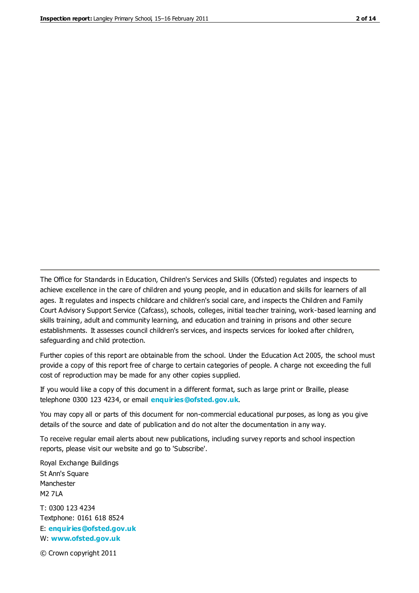The Office for Standards in Education, Children's Services and Skills (Ofsted) regulates and inspects to achieve excellence in the care of children and young people, and in education and skills for learners of all ages. It regulates and inspects childcare and children's social care, and inspects the Children and Family Court Advisory Support Service (Cafcass), schools, colleges, initial teacher training, work-based learning and skills training, adult and community learning, and education and training in prisons and other secure establishments. It assesses council children's services, and inspects services for looked after children, safeguarding and child protection.

Further copies of this report are obtainable from the school. Under the Education Act 2005, the school must provide a copy of this report free of charge to certain categories of people. A charge not exceeding the full cost of reproduction may be made for any other copies supplied.

If you would like a copy of this document in a different format, such as large print or Braille, please telephone 0300 123 4234, or email **[enquiries@ofsted.gov.uk](mailto:enquiries@ofsted.gov.uk)**.

You may copy all or parts of this document for non-commercial educational purposes, as long as you give details of the source and date of publication and do not alter the documentation in any way.

To receive regular email alerts about new publications, including survey reports and school inspection reports, please visit our website and go to 'Subscribe'.

Royal Exchange Buildings St Ann's Square Manchester M2 7LA T: 0300 123 4234 Textphone: 0161 618 8524 E: **[enquiries@ofsted.gov.uk](mailto:enquiries@ofsted.gov.uk)**

W: **[www.ofsted.gov.uk](http://www.ofsted.gov.uk/)**

© Crown copyright 2011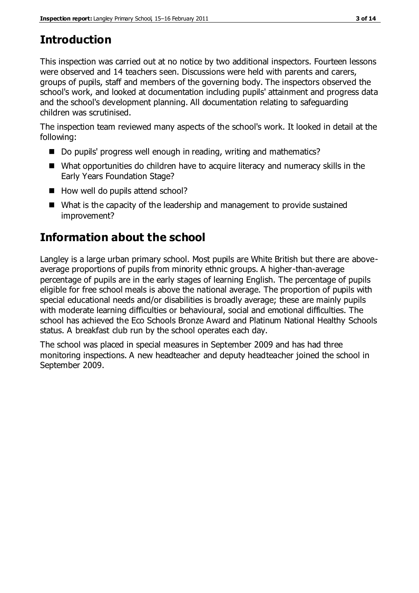# **Introduction**

This inspection was carried out at no notice by two additional inspectors. Fourteen lessons were observed and 14 teachers seen. Discussions were held with parents and carers, groups of pupils, staff and members of the governing body. The inspectors observed the school's work, and looked at documentation including pupils' attainment and progress data and the school's development planning. All documentation relating to safeguarding children was scrutinised.

The inspection team reviewed many aspects of the school's work. It looked in detail at the following:

- Do pupils' progress well enough in reading, writing and mathematics?
- What opportunities do children have to acquire literacy and numeracy skills in the Early Years Foundation Stage?
- How well do pupils attend school?
- What is the capacity of the leadership and management to provide sustained improvement?

# **Information about the school**

Langley is a large urban primary school. Most pupils are White British but there are aboveaverage proportions of pupils from minority ethnic groups. A higher-than-average percentage of pupils are in the early stages of learning English. The percentage of pupils eligible for free school meals is above the national average. The proportion of pupils with special educational needs and/or disabilities is broadly average; these are mainly pupils with moderate learning difficulties or behavioural, social and emotional difficulties. The school has achieved the Eco Schools Bronze Award and Platinum National Healthy Schools status. A breakfast club run by the school operates each day.

The school was placed in special measures in September 2009 and has had three monitoring inspections. A new headteacher and deputy headteacher joined the school in September 2009.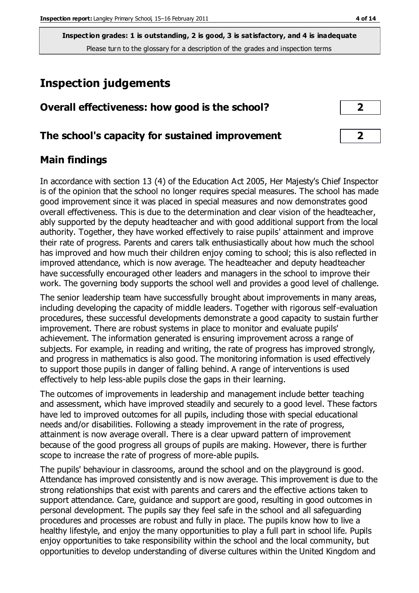# **Inspection judgements**

| Overall effectiveness: how good is the school?  |  |
|-------------------------------------------------|--|
| The school's capacity for sustained improvement |  |

#### **Main findings**

In accordance with section 13 (4) of the Education Act 2005, Her Majesty's Chief Inspector is of the opinion that the school no longer requires special measures. The school has made good improvement since it was placed in special measures and now demonstrates good overall effectiveness. This is due to the determination and clear vision of the headteacher, ably supported by the deputy headteacher and with good additional support from the local authority. Together, they have worked effectively to raise pupils' attainment and improve their rate of progress. Parents and carers talk enthusiastically about how much the school has improved and how much their children enjoy coming to school; this is also reflected in improved attendance, which is now average. The headteacher and deputy headteacher have successfully encouraged other leaders and managers in the school to improve their work. The governing body supports the school well and provides a good level of challenge.

The senior leadership team have successfully brought about improvements in many areas, including developing the capacity of middle leaders. Together with rigorous self-evaluation procedures, these successful developments demonstrate a good capacity to sustain further improvement. There are robust systems in place to monitor and evaluate pupils' achievement. The information generated is ensuring improvement across a range of subjects. For example, in reading and writing, the rate of progress has improved strongly, and progress in mathematics is also good. The monitoring information is used effectively to support those pupils in danger of falling behind. A range of interventions is used effectively to help less-able pupils close the gaps in their learning.

The outcomes of improvements in leadership and management include better teaching and assessment, which have improved steadily and securely to a good level. These factors have led to improved outcomes for all pupils, including those with special educational needs and/or disabilities. Following a steady improvement in the rate of progress, attainment is now average overall. There is a clear upward pattern of improvement because of the good progress all groups of pupils are making. However, there is further scope to increase the rate of progress of more-able pupils.

The pupils' behaviour in classrooms, around the school and on the playground is good. Attendance has improved consistently and is now average. This improvement is due to the strong relationships that exist with parents and carers and the effective actions taken to support attendance. Care, guidance and support are good, resulting in good outcomes in personal development. The pupils say they feel safe in the school and all safeguarding procedures and processes are robust and fully in place. The pupils know how to live a healthy lifestyle, and enjoy the many opportunities to play a full part in school life. Pupils enjoy opportunities to take responsibility within the school and the local community, but opportunities to develop understanding of diverse cultures within the United Kingdom and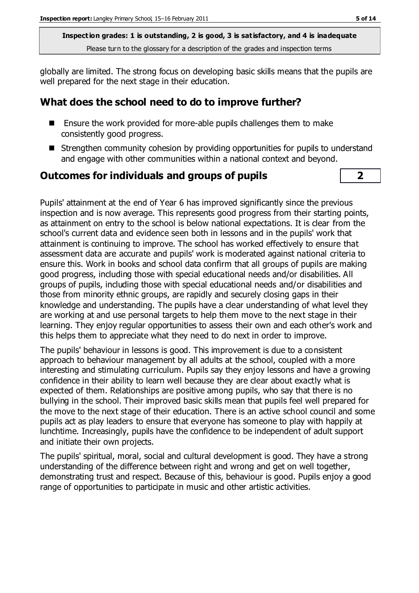globally are limited. The strong focus on developing basic skills means that the pupils are well prepared for the next stage in their education.

#### **What does the school need to do to improve further?**

- Ensure the work provided for more-able pupils challenges them to make consistently good progress.
- Strengthen community cohesion by providing opportunities for pupils to understand and engage with other communities within a national context and beyond.

#### **Outcomes for individuals and groups of pupils 2**

Pupils' attainment at the end of Year 6 has improved significantly since the previous inspection and is now average. This represents good progress from their starting points, as attainment on entry to the school is below national expectations. It is clear from the school's current data and evidence seen both in lessons and in the pupils' work that attainment is continuing to improve. The school has worked effectively to ensure that assessment data are accurate and pupils' work is moderated against national criteria to ensure this. Work in books and school data confirm that all groups of pupils are making good progress, including those with special educational needs and/or disabilities. All groups of pupils, including those with special educational needs and/or disabilities and those from minority ethnic groups, are rapidly and securely closing gaps in their knowledge and understanding. The pupils have a clear understanding of what level they are working at and use personal targets to help them move to the next stage in their learning. They enjoy regular opportunities to assess their own and each other's work and this helps them to appreciate what they need to do next in order to improve.

The pupils' behaviour in lessons is good. This improvement is due to a consistent approach to behaviour management by all adults at the school, coupled with a more interesting and stimulating curriculum. Pupils say they enjoy lessons and have a growing confidence in their ability to learn well because they are clear about exactly what is expected of them. Relationships are positive among pupils, who say that there is no bullying in the school. Their improved basic skills mean that pupils feel well prepared for the move to the next stage of their education. There is an active school council and some pupils act as play leaders to ensure that everyone has someone to play with happily at lunchtime. Increasingly, pupils have the confidence to be independent of adult support and initiate their own projects.

The pupils' spiritual, moral, social and cultural development is good. They have a strong understanding of the difference between right and wrong and get on well together, demonstrating trust and respect. Because of this, behaviour is good. Pupils enjoy a good range of opportunities to participate in music and other artistic activities.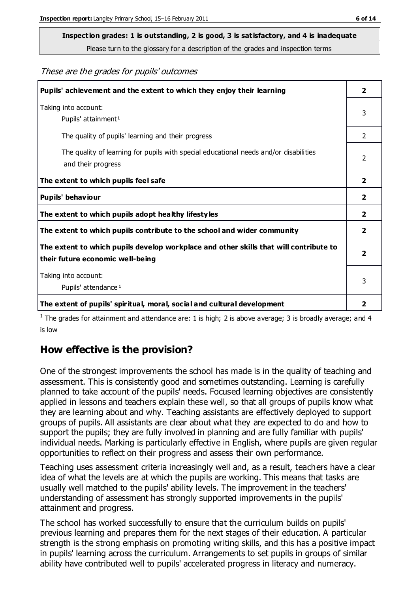# **Inspection grades: 1 is outstanding, 2 is good, 3 is satisfactory, and 4 is inadequate**

Please turn to the glossary for a description of the grades and inspection terms

These are the grades for pupils' outcomes

| Pupils' achievement and the extent to which they enjoy their learning                                                     |                         |
|---------------------------------------------------------------------------------------------------------------------------|-------------------------|
| Taking into account:<br>Pupils' attainment <sup>1</sup>                                                                   | 3                       |
| The quality of pupils' learning and their progress                                                                        | $\mathcal{P}$           |
| The quality of learning for pupils with special educational needs and/or disabilities<br>and their progress               | 2                       |
| The extent to which pupils feel safe                                                                                      | $\overline{2}$          |
| Pupils' behaviour                                                                                                         | 2                       |
| The extent to which pupils adopt healthy lifestyles                                                                       | 2                       |
| The extent to which pupils contribute to the school and wider community                                                   | $\overline{2}$          |
| The extent to which pupils develop workplace and other skills that will contribute to<br>their future economic well-being | $\overline{\mathbf{2}}$ |
| Taking into account:<br>Pupils' attendance <sup>1</sup>                                                                   | 3                       |
| The extent of pupils' spiritual, moral, social and cultural development                                                   | 2                       |

<sup>1</sup> The grades for attainment and attendance are: 1 is high; 2 is above average; 3 is broadly average; and 4 is low

### **How effective is the provision?**

One of the strongest improvements the school has made is in the quality of teaching and assessment. This is consistently good and sometimes outstanding. Learning is carefully planned to take account of the pupils' needs. Focused learning objectives are consistently applied in lessons and teachers explain these well, so that all groups of pupils know what they are learning about and why. Teaching assistants are effectively deployed to support groups of pupils. All assistants are clear about what they are expected to do and how to support the pupils; they are fully involved in planning and are fully familiar with pupils' individual needs. Marking is particularly effective in English, where pupils are given regular opportunities to reflect on their progress and assess their own performance.

Teaching uses assessment criteria increasingly well and, as a result, teachers have a clear idea of what the levels are at which the pupils are working. This means that tasks are usually well matched to the pupils' ability levels. The improvement in the teachers' understanding of assessment has strongly supported improvements in the pupils' attainment and progress.

The school has worked successfully to ensure that the curriculum builds on pupils' previous learning and prepares them for the next stages of their education. A particular strength is the strong emphasis on promoting writing skills, and this has a positive impact in pupils' learning across the curriculum. Arrangements to set pupils in groups of similar ability have contributed well to pupils' accelerated progress in literacy and numeracy.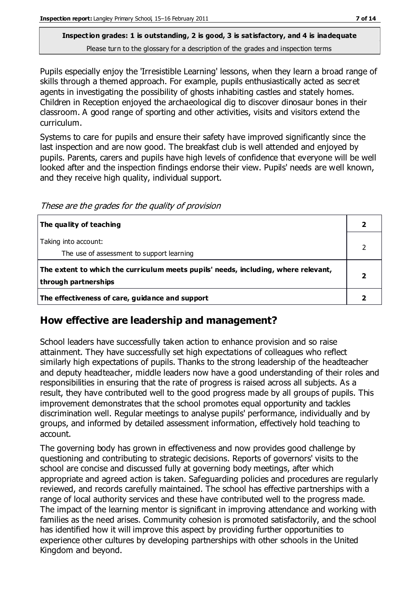Pupils especially enjoy the 'Irresistible Learning' lessons, when they learn a broad range of skills through a themed approach. For example, pupils enthusiastically acted as secret agents in investigating the possibility of ghosts inhabiting castles and stately homes. Children in Reception enjoyed the archaeological dig to discover dinosaur bones in their classroom. A good range of sporting and other activities, visits and visitors extend the curriculum.

Systems to care for pupils and ensure their safety have improved significantly since the last inspection and are now good. The breakfast club is well attended and enjoyed by pupils. Parents, carers and pupils have high levels of confidence that everyone will be well looked after and the inspection findings endorse their view. Pupils' needs are well known, and they receive high quality, individual support.

These are the grades for the quality of provision

| The quality of teaching                                                                                    |  |
|------------------------------------------------------------------------------------------------------------|--|
| Taking into account:<br>The use of assessment to support learning                                          |  |
| The extent to which the curriculum meets pupils' needs, including, where relevant,<br>through partnerships |  |
| The effectiveness of care, guidance and support                                                            |  |

#### **How effective are leadership and management?**

School leaders have successfully taken action to enhance provision and so raise attainment. They have successfully set high expectations of colleagues who reflect similarly high expectations of pupils. Thanks to the strong leadership of the headteacher and deputy headteacher, middle leaders now have a good understanding of their roles and responsibilities in ensuring that the rate of progress is raised across all subjects. As a result, they have contributed well to the good progress made by all groups of pupils. This improvement demonstrates that the school promotes equal opportunity and tackles discrimination well. Regular meetings to analyse pupils' performance, individually and by groups, and informed by detailed assessment information, effectively hold teaching to account.

The governing body has grown in effectiveness and now provides good challenge by questioning and contributing to strategic decisions. Reports of governors' visits to the school are concise and discussed fully at governing body meetings, after which appropriate and agreed action is taken. Safeguarding policies and procedures are regularly reviewed, and records carefully maintained. The school has effective partnerships with a range of local authority services and these have contributed well to the progress made. The impact of the learning mentor is significant in improving attendance and working with families as the need arises. Community cohesion is promoted satisfactorily, and the school has identified how it will improve this aspect by providing further opportunities to experience other cultures by developing partnerships with other schools in the United Kingdom and beyond.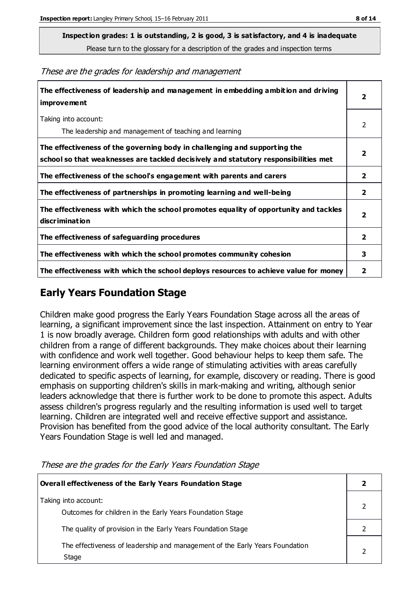**Inspection grades: 1 is outstanding, 2 is good, 3 is satisfactory, and 4 is inadequate**

Please turn to the glossary for a description of the grades and inspection terms

These are the grades for leadership and management

| The effectiveness of leadership and management in embedding ambition and driving<br><i>improvement</i>                                                           |              |
|------------------------------------------------------------------------------------------------------------------------------------------------------------------|--------------|
| Taking into account:<br>The leadership and management of teaching and learning                                                                                   | 2            |
| The effectiveness of the governing body in challenging and supporting the<br>school so that weaknesses are tackled decisively and statutory responsibilities met | 2            |
| The effectiveness of the school's engagement with parents and carers                                                                                             | 2            |
| The effectiveness of partnerships in promoting learning and well-being                                                                                           | 2            |
| The effectiveness with which the school promotes equality of opportunity and tackles<br><b>discrimination</b>                                                    | 2            |
| The effectiveness of safeguarding procedures                                                                                                                     | $\mathbf{z}$ |
| The effectiveness with which the school promotes community cohesion                                                                                              | 3            |
| The effectiveness with which the school deploys resources to achieve value for money                                                                             | 2            |

#### **Early Years Foundation Stage**

Children make good progress the Early Years Foundation Stage across all the areas of learning, a significant improvement since the last inspection. Attainment on entry to Year 1 is now broadly average. Children form good relationships with adults and with other children from a range of different backgrounds. They make choices about their learning with confidence and work well together. Good behaviour helps to keep them safe. The learning environment offers a wide range of stimulating activities with areas carefully dedicated to specific aspects of learning, for example, discovery or reading. There is good emphasis on supporting children's skills in mark-making and writing, although senior leaders acknowledge that there is further work to be done to promote this aspect. Adults assess children's progress regularly and the resulting information is used well to target learning. Children are integrated well and receive effective support and assistance. Provision has benefited from the good advice of the local authority consultant. The Early Years Foundation Stage is well led and managed.

| <b>Overall effectiveness of the Early Years Foundation Stage</b>                      |  |
|---------------------------------------------------------------------------------------|--|
| Taking into account:<br>Outcomes for children in the Early Years Foundation Stage     |  |
| The quality of provision in the Early Years Foundation Stage                          |  |
| The effectiveness of leadership and management of the Early Years Foundation<br>Stage |  |

These are the grades for the Early Years Foundation Stage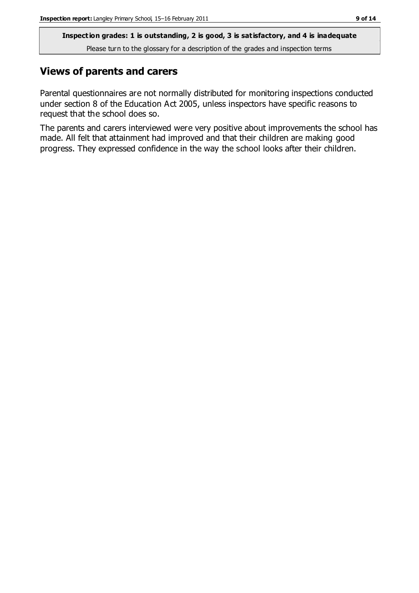#### **Views of parents and carers**

Parental questionnaires are not normally distributed for monitoring inspections conducted under section 8 of the Education Act 2005, unless inspectors have specific reasons to request that the school does so.

The parents and carers interviewed were very positive about improvements the school has made. All felt that attainment had improved and that their children are making good progress. They expressed confidence in the way the school looks after their children.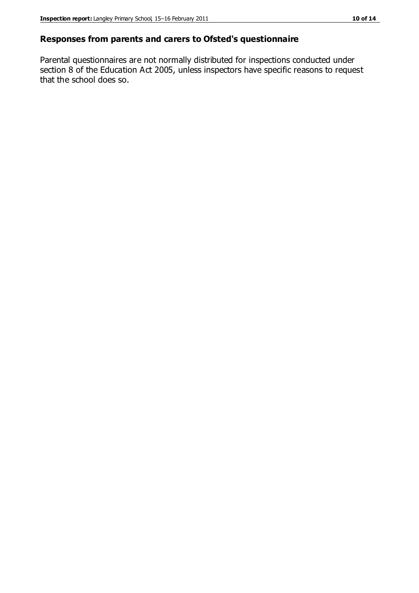#### **Responses from parents and carers to Ofsted's questionnaire**

Parental questionnaires are not normally distributed for inspections conducted under section 8 of the Education Act 2005, unless inspectors have specific reasons to request that the school does so.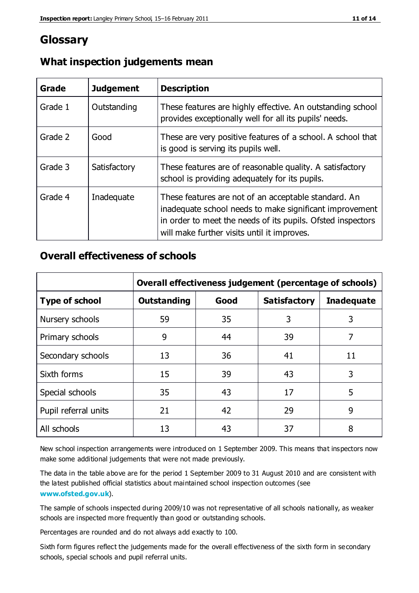# **Glossary**

| Grade   | <b>Judgement</b> | <b>Description</b>                                                                                                                                                                                                            |
|---------|------------------|-------------------------------------------------------------------------------------------------------------------------------------------------------------------------------------------------------------------------------|
| Grade 1 | Outstanding      | These features are highly effective. An outstanding school<br>provides exceptionally well for all its pupils' needs.                                                                                                          |
| Grade 2 | Good             | These are very positive features of a school. A school that<br>is good is serving its pupils well.                                                                                                                            |
| Grade 3 | Satisfactory     | These features are of reasonable quality. A satisfactory<br>school is providing adequately for its pupils.                                                                                                                    |
| Grade 4 | Inadequate       | These features are not of an acceptable standard. An<br>inadequate school needs to make significant improvement<br>in order to meet the needs of its pupils. Ofsted inspectors<br>will make further visits until it improves. |

# **What inspection judgements mean**

## **Overall effectiveness of schools**

|                       | Overall effectiveness judgement (percentage of schools) |      |                     |                   |
|-----------------------|---------------------------------------------------------|------|---------------------|-------------------|
| <b>Type of school</b> | Outstanding                                             | Good | <b>Satisfactory</b> | <b>Inadequate</b> |
| Nursery schools       | 59                                                      | 35   | 3                   |                   |
| Primary schools       | 9                                                       | 44   | 39                  |                   |
| Secondary schools     | 13                                                      | 36   | 41                  | 11                |
| Sixth forms           | 15                                                      | 39   | 43                  | 3                 |
| Special schools       | 35                                                      | 43   | 17                  | 5                 |
| Pupil referral units  | 21                                                      | 42   | 29                  | 9                 |
| All schools           | 13                                                      | 43   | 37                  | 8                 |

New school inspection arrangements were introduced on 1 September 2009. This means that inspectors now make some additional judgements that were not made previously.

The data in the table above are for the period 1 September 2009 to 31 August 2010 and are consistent with the latest published official statistics about maintained school inspection outcomes (see **[www.ofsted.gov.uk](http://www.ofsted.gov.uk/)**).

The sample of schools inspected during 2009/10 was not representative of all schools nationally, as weaker schools are inspected more frequently than good or outstanding schools.

Percentages are rounded and do not always add exactly to 100.

Sixth form figures reflect the judgements made for the overall effectiveness of the sixth form in secondary schools, special schools and pupil referral units.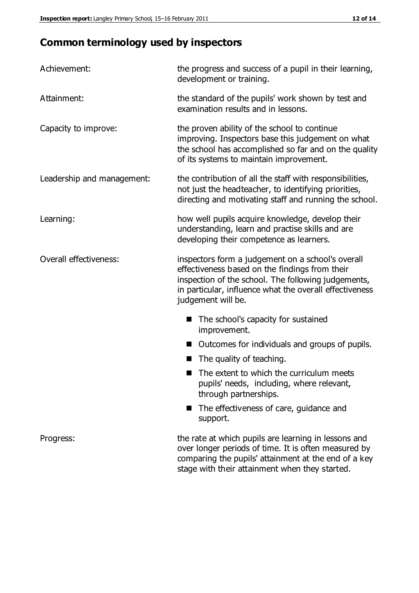# **Common terminology used by inspectors**

| Achievement:               | the progress and success of a pupil in their learning,<br>development or training.                                                                                                                                                          |  |
|----------------------------|---------------------------------------------------------------------------------------------------------------------------------------------------------------------------------------------------------------------------------------------|--|
| Attainment:                | the standard of the pupils' work shown by test and<br>examination results and in lessons.                                                                                                                                                   |  |
| Capacity to improve:       | the proven ability of the school to continue<br>improving. Inspectors base this judgement on what<br>the school has accomplished so far and on the quality<br>of its systems to maintain improvement.                                       |  |
| Leadership and management: | the contribution of all the staff with responsibilities,<br>not just the headteacher, to identifying priorities,<br>directing and motivating staff and running the school.                                                                  |  |
| Learning:                  | how well pupils acquire knowledge, develop their<br>understanding, learn and practise skills and are<br>developing their competence as learners.                                                                                            |  |
| Overall effectiveness:     | inspectors form a judgement on a school's overall<br>effectiveness based on the findings from their<br>inspection of the school. The following judgements,<br>in particular, influence what the overall effectiveness<br>judgement will be. |  |
|                            | The school's capacity for sustained<br>improvement.                                                                                                                                                                                         |  |
|                            | Outcomes for individuals and groups of pupils.                                                                                                                                                                                              |  |
|                            | The quality of teaching.                                                                                                                                                                                                                    |  |
|                            | The extent to which the curriculum meets<br>pupils' needs, including, where relevant,<br>through partnerships.                                                                                                                              |  |
|                            | The effectiveness of care, guidance and<br>support.                                                                                                                                                                                         |  |
| Progress:                  | the rate at which pupils are learning in lessons and<br>over longer periods of time. It is often measured by<br>comparing the pupils' attainment at the end of a key                                                                        |  |

stage with their attainment when they started.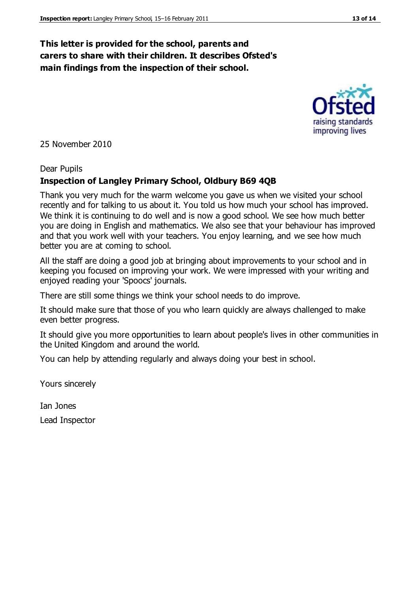#### **This letter is provided for the school, parents and carers to share with their children. It describes Ofsted's main findings from the inspection of their school.**

25 November 2010

#### Dear Pupils

#### **Inspection of Langley Primary School, Oldbury B69 4QB**

Thank you very much for the warm welcome you gave us when we visited your school recently and for talking to us about it. You told us how much your school has improved. We think it is continuing to do well and is now a good school. We see how much better you are doing in English and mathematics. We also see that your behaviour has improved and that you work well with your teachers. You enjoy learning, and we see how much better you are at coming to school.

All the staff are doing a good job at bringing about improvements to your school and in keeping you focused on improving your work. We were impressed with your writing and enjoyed reading your 'Spoocs' journals.

There are still some things we think your school needs to do improve.

It should make sure that those of you who learn quickly are always challenged to make even better progress.

It should give you more opportunities to learn about people's lives in other communities in the United Kingdom and around the world.

You can help by attending regularly and always doing your best in school.

Yours sincerely

Ian Jones Lead Inspector